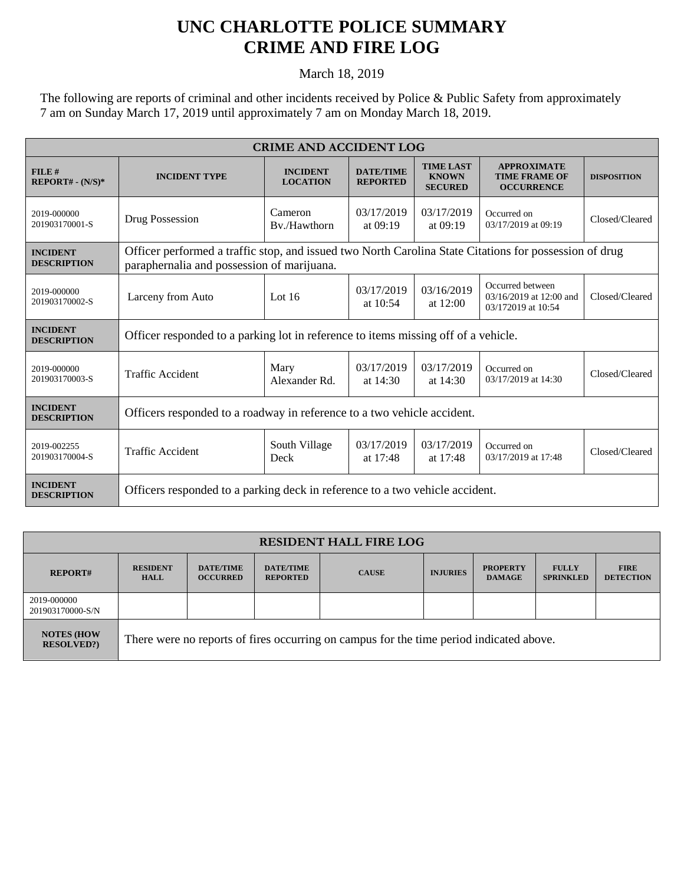## **UNC CHARLOTTE POLICE SUMMARY CRIME AND FIRE LOG**

March 18, 2019

The following are reports of criminal and other incidents received by Police & Public Safety from approximately 7 am on Sunday March 17, 2019 until approximately 7 am on Monday March 18, 2019.

| <b>CRIME AND ACCIDENT LOG</b>         |                                                                                                                                                      |                                    |                                     |                                                    |                                                                   |                    |  |  |
|---------------------------------------|------------------------------------------------------------------------------------------------------------------------------------------------------|------------------------------------|-------------------------------------|----------------------------------------------------|-------------------------------------------------------------------|--------------------|--|--|
| FILE#<br>$REPORT# - (N/S)*$           | <b>INCIDENT TYPE</b>                                                                                                                                 | <b>INCIDENT</b><br><b>LOCATION</b> | <b>DATE/TIME</b><br><b>REPORTED</b> | <b>TIME LAST</b><br><b>KNOWN</b><br><b>SECURED</b> | <b>APPROXIMATE</b><br><b>TIME FRAME OF</b><br><b>OCCURRENCE</b>   | <b>DISPOSITION</b> |  |  |
| 2019-000000<br>201903170001-S         | Drug Possession                                                                                                                                      | Cameron<br>By./Hawthorn            | 03/17/2019<br>at $09:19$            | 03/17/2019<br>at $09:19$                           | Occurred on<br>03/17/2019 at 09:19                                | Closed/Cleared     |  |  |
| <b>INCIDENT</b><br><b>DESCRIPTION</b> | Officer performed a traffic stop, and issued two North Carolina State Citations for possession of drug<br>paraphernalia and possession of marijuana. |                                    |                                     |                                                    |                                                                   |                    |  |  |
| 2019-000000<br>201903170002-S         | Larceny from Auto                                                                                                                                    | Lot $16$                           | 03/17/2019<br>at $10:54$            | 03/16/2019<br>at 12:00                             | Occurred between<br>03/16/2019 at 12:00 and<br>03/172019 at 10:54 | Closed/Cleared     |  |  |
| <b>INCIDENT</b><br><b>DESCRIPTION</b> | Officer responded to a parking lot in reference to items missing off of a vehicle.                                                                   |                                    |                                     |                                                    |                                                                   |                    |  |  |
| 2019-000000<br>201903170003-S         | <b>Traffic Accident</b>                                                                                                                              | Mary<br>Alexander Rd.              | 03/17/2019<br>at $14:30$            | 03/17/2019<br>at 14:30                             | Occurred on<br>03/17/2019 at 14:30                                | Closed/Cleared     |  |  |
| <b>INCIDENT</b><br><b>DESCRIPTION</b> | Officers responded to a roadway in reference to a two vehicle accident.                                                                              |                                    |                                     |                                                    |                                                                   |                    |  |  |
| 2019-002255<br>201903170004-S         | Traffic Accident                                                                                                                                     | South Village<br>Deck              | 03/17/2019<br>at 17:48              | 03/17/2019<br>at 17:48                             | Occurred on<br>03/17/2019 at 17:48                                | Closed/Cleared     |  |  |
| <b>INCIDENT</b><br><b>DESCRIPTION</b> | Officers responded to a parking deck in reference to a two vehicle accident.                                                                         |                                    |                                     |                                                    |                                                                   |                    |  |  |

| <b>RESIDENT HALL FIRE LOG</b>          |                                                                                         |                                     |                                     |              |                 |                                  |                                  |                                 |
|----------------------------------------|-----------------------------------------------------------------------------------------|-------------------------------------|-------------------------------------|--------------|-----------------|----------------------------------|----------------------------------|---------------------------------|
| <b>REPORT#</b>                         | <b>RESIDENT</b><br><b>HALL</b>                                                          | <b>DATE/TIME</b><br><b>OCCURRED</b> | <b>DATE/TIME</b><br><b>REPORTED</b> | <b>CAUSE</b> | <b>INJURIES</b> | <b>PROPERTY</b><br><b>DAMAGE</b> | <b>FULLY</b><br><b>SPRINKLED</b> | <b>FIRE</b><br><b>DETECTION</b> |
| 2019-000000<br>201903170000-S/N        |                                                                                         |                                     |                                     |              |                 |                                  |                                  |                                 |
| <b>NOTES (HOW</b><br><b>RESOLVED?)</b> | There were no reports of fires occurring on campus for the time period indicated above. |                                     |                                     |              |                 |                                  |                                  |                                 |